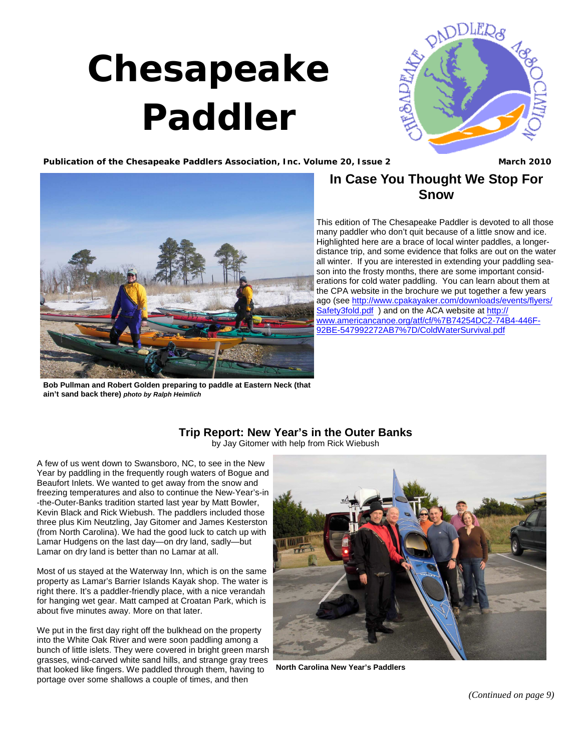## **Chesapeake Paddler**



Publication of the Chesapeake Paddlers Association, Inc. Volume 20, Issue 2 **March 2010** March 2010



**Bob Pullman and Robert Golden preparing to paddle at Eastern Neck (that ain't sand back there)** *photo by Ralph Heimlich*

## **In Case You Thought We Stop For Snow**

This edition of The Chesapeake Paddler is devoted to all those many paddler who don't quit because of a little snow and ice. Highlighted here are a brace of local winter paddles, a longerdistance trip, and some evidence that folks are out on the water all winter. If you are interested in extending your paddling season into the frosty months, there are some important considerations for cold water paddling. You can learn about them at the CPA website in the brochure we put together a few years [ago \(see http://www.cpakayaker.com/downloads/events/flyers/](http://www.cpakayaker.com/downloads/events/flyers/Safety3fold.pdf) Safety3fold.pdf) and on the ACA website at http:// [www.americancanoe.org/atf/cf/%7B74254DC2-74B4-446F-](http://www.americancanoe.org/atf/cf/%7B74254DC2-74B4-446F-92BE-547992272AB7%7D/ColdWaterSurvival.pdf)92BE-547992272AB7%7D/ColdWaterSurvival.pdf

## **Trip Report: New Year's in the Outer Banks**

by Jay Gitomer with help from Rick Wiebush

<span id="page-0-0"></span>A few of us went down to Swansboro, NC, to see in the New Year by paddling in the frequently rough waters of Bogue and Beaufort Inlets. We wanted to get away from the snow and freezing temperatures and also to continue the New-Year's-in -the-Outer-Banks tradition started last year by Matt Bowler, Kevin Black and Rick Wiebush. The paddlers included those three plus Kim Neutzling, Jay Gitomer and James Kesterston (from North Carolina). We had the good luck to catch up with Lamar Hudgens on the last day—on dry land, sadly—but Lamar on dry land is better than no Lamar at all.

Most of us stayed at the Waterway Inn, which is on the same property as Lamar's Barrier Islands Kayak shop. The water is right there. It's a paddler-friendly place, with a nice verandah for hanging wet gear. Matt camped at Croatan Park, which is about five minutes away. More on that later.

We put in the first day right off the bulkhead on the property into the White Oak River and were soon paddling among a bunch of little islets. They were covered in bright green marsh grasses, wind-carved white sand hills, and strange gray trees that looked like fingers. We paddled through them, having to portage over some shallows a couple of times, and then



**North Carolina New Year's Paddlers** 

*[\(Continued on page 9\)](#page-1-0)*